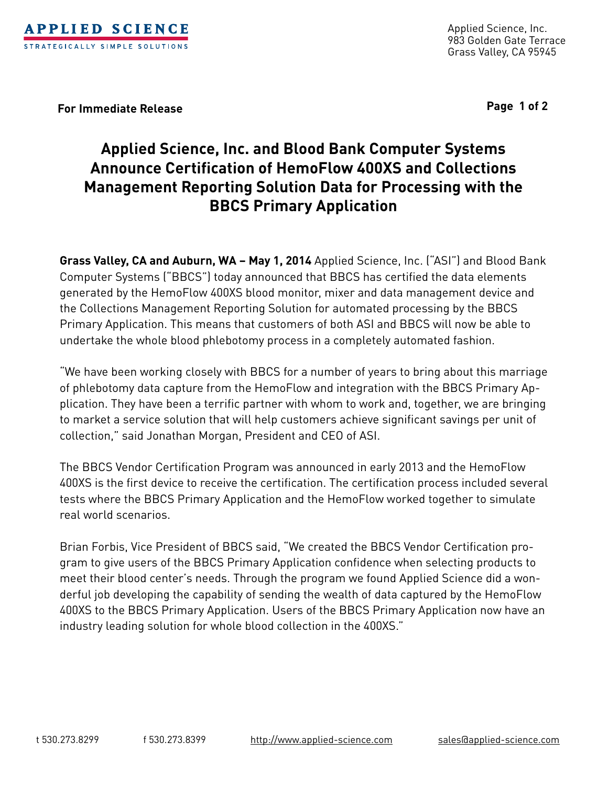

Applied Science, Inc. 983 Golden Gate Terrace Grass Valley, CA 95945

**For Immediate Release Page 1 of 2**

# **Applied Science, Inc. and Blood Bank Computer Systems Announce Certification of HemoFlow 400XS and Collections Management Reporting Solution Data for Processing with the BBCS Primary Application**

**Grass Valley, CA and Auburn, WA – May 1, 2014** Applied Science, Inc. ("ASI") and Blood Bank Computer Systems ("BBCS") today announced that BBCS has certified the data elements generated by the HemoFlow 400XS blood monitor, mixer and data management device and the Collections Management Reporting Solution for automated processing by the BBCS Primary Application. This means that customers of both ASI and BBCS will now be able to undertake the whole blood phlebotomy process in a completely automated fashion.

"We have been working closely with BBCS for a number of years to bring about this marriage of phlebotomy data capture from the HemoFlow and integration with the BBCS Primary Application. They have been a terrific partner with whom to work and, together, we are bringing to market a service solution that will help customers achieve significant savings per unit of collection," said Jonathan Morgan, President and CEO of ASI.

The BBCS Vendor Certification Program was announced in early 2013 and the HemoFlow 400XS is the first device to receive the certification. The certification process included several tests where the BBCS Primary Application and the HemoFlow worked together to simulate real world scenarios.

Brian Forbis, Vice President of BBCS said, "We created the BBCS Vendor Certification program to give users of the BBCS Primary Application confidence when selecting products to meet their blood center's needs. Through the program we found Applied Science did a wonderful job developing the capability of sending the wealth of data captured by the HemoFlow 400XS to the BBCS Primary Application. Users of the BBCS Primary Application now have an industry leading solution for whole blood collection in the 400XS."